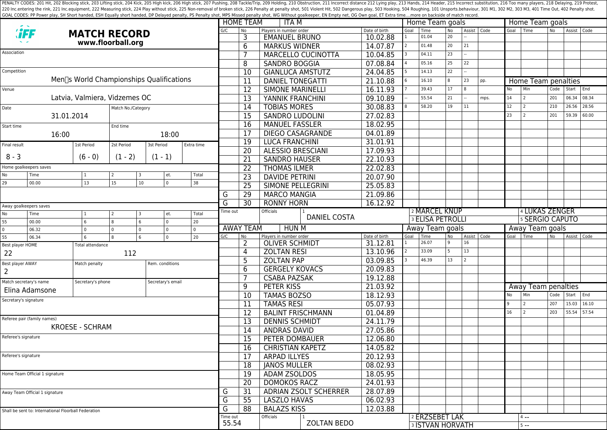PENALTY CODES: 201 Hit, 202 Blocking stick, 203 Lifting stick, 204 Kick, 204 Kick, 205 High kick, 204 Kick, 205 High kick, 206 High stick, 206 High stick, 206 High stick, 206 High stick, 207 Pushing, 208 Tackle/Trip, 209 H 220 Inc.entering the rink, 221 Inc.equipment, 222 Measuring stick, 224 Play without stick, 225 Non-removal of broken stick, 225 Poralty shot, 501 Violent Hit, 502 Dangerous play, 503 Hooking, 504 Roughing, 101 Unsports.beh GOAL CODES: PP Power play, SH Short handed, ESH Equally short handed, DP Delayed penalty, PS Penalty shot, MPS Missed penalty shot, WG Without goalkeeper, EN Empty net, OG Own goal, ET Extra time....more on backside of mat

|                                                      |                                                                  |                               |                |                                                  |               |                | <b>HOME TEAM</b>            | ITA M                        |                     |                         | Home Team goals |                 |               |        |                     | Home Team goals     |                |               |       |  |  |  |
|------------------------------------------------------|------------------------------------------------------------------|-------------------------------|----------------|--------------------------------------------------|---------------|----------------|-----------------------------|------------------------------|---------------------|-------------------------|-----------------|-----------------|---------------|--------|---------------------|---------------------|----------------|---------------|-------|--|--|--|
|                                                      |                                                                  | <b>MATCH RECORD</b>           |                |                                                  |               | G/C            | <b>No</b>                   | Players in number order      | Date of birth       | Goal                    | Time<br>01.04   | <b>No</b><br>20 | Assist   Code |        |                     | Goal Time           | N <sub>o</sub> | Assist   Code |       |  |  |  |
| www.floorball.org                                    |                                                                  |                               |                |                                                  |               | 3              | <b>EMANUEL BRUNO</b>        | 10.02.88                     | $\overline{2}$      | 01.48                   | 20              | 21              |               |        |                     |                     |                |               |       |  |  |  |
| Association                                          |                                                                  |                               |                |                                                  |               |                | 6                           | <b>MARKUS WIDNER</b>         | 14.07.87            |                         | 04.11           | 23              |               |        |                     |                     |                |               |       |  |  |  |
|                                                      |                                                                  |                               |                |                                                  |               |                | 7                           | MARCELLO CUCINOTTA           | 10.04.85            |                         | 05.16           |                 | 22            |        |                     |                     |                |               |       |  |  |  |
| Competition                                          |                                                                  |                               |                |                                                  |               |                | 8                           | <b>SANDRO BOGGIA</b>         | 07.08.84            |                         |                 | 25              |               |        |                     |                     |                |               |       |  |  |  |
|                                                      |                                                                  |                               |                | Men∏s World Championships Qualifications         |               |                | 10                          | <b>GIANLUCA AMSTUTZ</b>      | 24.04.85            |                         | 14.13           | 22              |               |        |                     |                     |                |               |       |  |  |  |
|                                                      |                                                                  |                               |                |                                                  |               |                | 11                          | <b>DANIEL TONEGATTI</b>      | 21.10.88            |                         | 16.10           | 8               | 23            | pp.    |                     | Home Team penalties |                |               |       |  |  |  |
| Venue                                                |                                                                  |                               |                |                                                  |               |                | 12                          | <b>SIMONE MARINELLI</b>      | 16.11.93            |                         | 39.43           | 17              |               |        | No                  | Min                 | Code           | Start         | End   |  |  |  |
|                                                      |                                                                  | Latvia, Valmiera, Vidzemes OC |                |                                                  |               |                | $\overline{13}$             | YANNIK FRANCHINI             | 09.10.89            |                         | 55.54           | 21              |               | mps.   | 14                  | 2                   | 201            | 06.34         | 08.34 |  |  |  |
| Date<br>Match No./Category                           |                                                                  |                               |                |                                                  |               |                | $\overline{14}$             | <b>TOBIAS MORES</b>          | 30.08.83            |                         | 58.20           | 19              | 11            |        | 12                  | 2                   | 210            | 26.56         | 28.56 |  |  |  |
|                                                      | 31.01.2014                                                       |                               |                |                                                  |               |                | 15                          | <b>SANDRO LUDOLINI</b>       | 27.02.83            |                         |                 |                 |               |        | 23                  | 2                   | 201            | 59.39         | 60.00 |  |  |  |
| Start time                                           |                                                                  |                               | End time       |                                                  |               |                | 16                          | <b>MANUEL FASSLER</b>        | 18.02.95            |                         |                 |                 |               |        |                     |                     |                |               |       |  |  |  |
|                                                      | 16:00                                                            |                               |                | 18:00                                            |               |                | 17                          | <b>DIEGO CASAGRANDE</b>      | 04.01.89            |                         |                 |                 |               |        |                     |                     |                |               |       |  |  |  |
| Final result                                         |                                                                  | 1st Period                    | 2st Period     | 3st Period                                       | Extra time    |                | $\overline{19}$             | <b>LUCA FRANCHINI</b>        | 31.01.91            |                         |                 |                 |               |        |                     |                     |                |               |       |  |  |  |
|                                                      |                                                                  |                               |                |                                                  |               |                | 20                          | <b>ALESSIO BRESCIANI</b>     | 17.09.93            |                         |                 |                 |               |        |                     |                     |                |               |       |  |  |  |
| $8 - 3$                                              |                                                                  | $(6 - 0)$                     | $(1 - 2)$      | $(1 - 1)$                                        |               |                | 21                          | <b>SANDRO HAUSER</b>         | 22.10.93            |                         |                 |                 |               |        |                     |                     |                |               |       |  |  |  |
| Home goalkeepers saves                               |                                                                  |                               |                |                                                  |               |                | 22                          | <b>THOMAS ILMER</b>          | 22.02.83            |                         |                 |                 |               |        |                     |                     |                |               |       |  |  |  |
| No                                                   | Time                                                             | 1                             | 2              | et.<br>3                                         | Total         |                | $\overline{23}$             | <b>DAVIDE PETRINI</b>        | 20.07.90            |                         |                 |                 |               |        |                     |                     |                |               |       |  |  |  |
| 29                                                   | 00.00                                                            | 13                            | 15             | $\overline{0}$<br>10 <sup>°</sup>                | 38            |                | $\overline{25}$             | SIMONE PELLEGRINI            | 25.05.83            |                         |                 |                 |               |        |                     |                     |                |               |       |  |  |  |
|                                                      |                                                                  |                               |                |                                                  |               |                | 29                          | <b>MARCO MANGIA</b>          | 21.09.86            |                         |                 |                 |               |        |                     |                     |                |               |       |  |  |  |
|                                                      | Away goalkeepers saves                                           |                               |                |                                                  |               | G              | 30                          | <b>RONNY HORN</b>            | 16.12.92            |                         |                 |                 |               |        |                     |                     |                |               |       |  |  |  |
| No<br>Time<br>$\overline{2}$<br>et.<br>Total<br>3    |                                                                  |                               |                |                                                  | Time out      |                | <b>Officials</b>            |                              | 2 MARCEL KNUP       |                         |                 |                 |               |        | 4 LUKAS ZENGER      |                     |                |               |       |  |  |  |
| 55                                                   | 00.00                                                            | 6                             | 8              | $\overline{0}$<br>6                              | 20            |                |                             | <b>DANIEL COSTA</b>          |                     | <b>3 ELISA PETROLLI</b> |                 |                 |               |        | 5 SERGIO CAPUTO     |                     |                |               |       |  |  |  |
| $\mathbf 0$                                          | 06.32                                                            | $\Omega$                      | I٥<br>$\Omega$ | $\overline{0}$                                   | $\Omega$      |                | <b>AWAY TEAM</b>            | <b>HUN M</b>                 |                     | Away Team goals         |                 |                 |               |        | Away Team goals     |                     |                |               |       |  |  |  |
| 55<br>$\overline{0}$<br>06.34<br>l 8<br>20<br>6<br>6 |                                                                  | G/C                           | No             | Players in number order<br><b>OLIVER SCHMIDT</b> | Date of birth | Goal           | Time<br>26.07               | No<br>q                      | Assist   Code<br>16 |                         | Goal            | I Time          | No.           | Assist | Code                |                     |                |               |       |  |  |  |
| Best player HOME                                     |                                                                  | Total attendance              |                |                                                  |               |                | 2                           |                              | 31.12.81            |                         | 33.09           | 5               | 13            |        |                     |                     |                |               |       |  |  |  |
| 22                                                   |                                                                  |                               | 112            |                                                  |               |                | 4                           | <b>ZOLTAN RESI</b>           | 13.10.96            |                         |                 |                 |               |        |                     |                     |                |               |       |  |  |  |
| Best player AWAY                                     |                                                                  | Match penalty                 |                | Rem. conditions                                  |               |                | 5                           | <b>ZOLTAN PAP</b>            | 03.09.85            |                         | 46.39           | 13              |               |        |                     |                     |                |               |       |  |  |  |
| $\overline{2}$                                       |                                                                  |                               |                |                                                  |               |                | 6                           | <b>GERGELY KOVACS</b>        | 20.09.83            |                         |                 |                 |               |        |                     |                     |                |               |       |  |  |  |
|                                                      | Match secretary's name<br>Secretary's phone<br>Secretary's email |                               |                |                                                  |               | $\overline{7}$ | <b>CSABA PAZSAK</b>         | 19.12.88                     |                     |                         |                 |                 |               |        |                     |                     |                |               |       |  |  |  |
| Elina Adamsone                                       |                                                                  |                               |                |                                                  |               | 9              | PETER KISS                  | 21.03.92                     |                     |                         |                 |                 |               |        | Away Team penalties |                     |                |               |       |  |  |  |
| Secretary's signature                                |                                                                  |                               |                |                                                  |               | 10             | <b>TAMAS BOZSO</b>          | 18.12.93                     |                     |                         |                 |                 |               | No     | Min                 | Code                | Start End      |               |       |  |  |  |
|                                                      |                                                                  |                               |                |                                                  |               |                | 11                          | <b>TAMAS RESI</b>            | 05.07.93            |                         |                 |                 |               |        | q                   | 2                   | 207            | 15.03         | 16.10 |  |  |  |
|                                                      | Referee pair (family names)                                      |                               |                |                                                  |               |                | $\overline{12}$             | <b>BALINT FRISCHMANN</b>     | 01.04.89            |                         |                 |                 |               |        | 16                  | 2                   | 203            | 55.54         | 57.54 |  |  |  |
|                                                      |                                                                  | <b>KROESE - SCHRAM</b>        |                |                                                  |               |                | 13                          | <b>DENNIS SCHMIDT</b>        | 24.11.79            |                         |                 |                 |               |        |                     |                     |                |               |       |  |  |  |
|                                                      |                                                                  |                               |                |                                                  |               |                | 14                          | <b>ANDRAS DAVID</b>          | 27.05.86            |                         |                 |                 |               |        |                     |                     |                |               |       |  |  |  |
|                                                      | Referee's signature                                              |                               |                |                                                  |               |                | 15                          | PETER DOMBAUER               | 12.06.80            |                         |                 |                 |               |        |                     |                     |                |               |       |  |  |  |
|                                                      |                                                                  |                               |                |                                                  |               |                | 16                          | <b>CHRISTIAN KAPETZ</b>      | 14.05.82            |                         |                 |                 |               |        |                     |                     |                |               |       |  |  |  |
|                                                      | Referee's signature                                              |                               |                |                                                  |               |                | 17                          | <b>ARPAD ILLYES</b>          | 20.12.93            |                         |                 |                 |               |        |                     |                     |                |               |       |  |  |  |
|                                                      |                                                                  |                               |                |                                                  |               |                | 18                          | <b>JANOS MULLER</b>          | 08.02.93            |                         |                 |                 |               |        |                     |                     |                |               |       |  |  |  |
|                                                      | Home Team Official 1 signature                                   |                               |                |                                                  |               |                | 19                          | ADAM ZSOLDOS                 | 18.05.95            |                         |                 |                 |               |        |                     |                     |                |               |       |  |  |  |
|                                                      |                                                                  |                               |                |                                                  |               |                | 20                          | <b>DOMOKOS RACZ</b>          | 24.01.93            |                         |                 |                 |               |        |                     |                     |                |               |       |  |  |  |
| Away Team Official 1 signature                       |                                                                  |                               |                |                                                  |               | G              | 31                          | <b>ADRIAN ZSOLT SCHERRER</b> | 28.07.89            |                         |                 |                 |               |        |                     |                     |                |               |       |  |  |  |
|                                                      |                                                                  |                               |                |                                                  |               |                | 55                          | <b>LASZLO HAVAS</b>          | 06.02.93            |                         |                 |                 |               |        |                     |                     |                |               |       |  |  |  |
| Shall be sent to: International Floorball Federation |                                                                  |                               |                |                                                  |               |                | 88                          | <b>BALAZS KISS</b>           | 12.03.88            |                         |                 |                 |               |        |                     |                     |                |               |       |  |  |  |
|                                                      |                                                                  |                               |                |                                                  |               | Time out       |                             | Officials                    |                     |                         | 2 ERZSEBET LAK  |                 |               |        |                     | $4 - -$             |                |               |       |  |  |  |
|                                                      |                                                                  |                               |                |                                                  |               |                | 55.54<br><b>ZOLTAN BEDO</b> |                              |                     | <b>3 ISTVAN HORVATH</b> |                 |                 |               |        |                     | $5 - -$             |                |               |       |  |  |  |